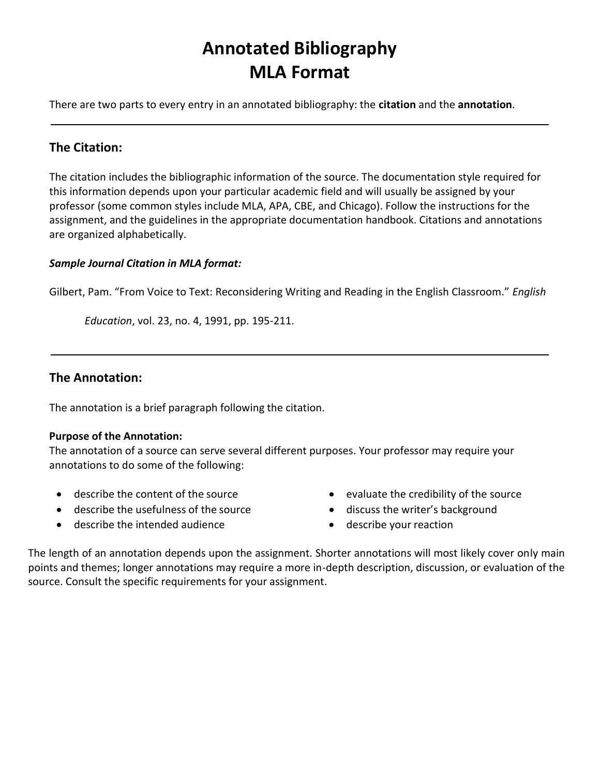# **Annotated Bibliography MLA Format**

There are two parts to every entry in an annotated bibliography: the **citation** and the **annotation**.

## **The Citation:**

The citation includes the bibliographic information of the source. The documentation style required for this information depends upon your particular academic field and will usually be assigned by your professor (some common styles include MLA, APA, CBE, and Chicago). Follow the instructions for the assignment, and the guidelines in the appropriate documentation handbook. Citations and annotations are organized alphabetically.

#### *Sample Journal Citation in MLA format:*

Gilbert, Pam. "From Voice to Text: Reconsidering Writing and Reading in the English Classroom." *English* 

*Education*, vol. 23, no. 4, 1991, pp. 195-211.

### **The Annotation:**

The annotation is a brief paragraph following the citation.

#### **Purpose of the Annotation:**

The annotation of a source can serve several different purposes. Your professor may require your annotations to do some of the following:

- describe the content of the source
- describe the usefulness of the source
- describe the intended audience
- evaluate the credibility of the source
- discuss the writer's background
- describe your reaction

The length of an annotation depends upon the assignment. Shorter annotations will most likely cover only main points and themes; longer annotations may require a more in-depth description, discussion, or evaluation of the source. Consult the specific requirements for your assignment.